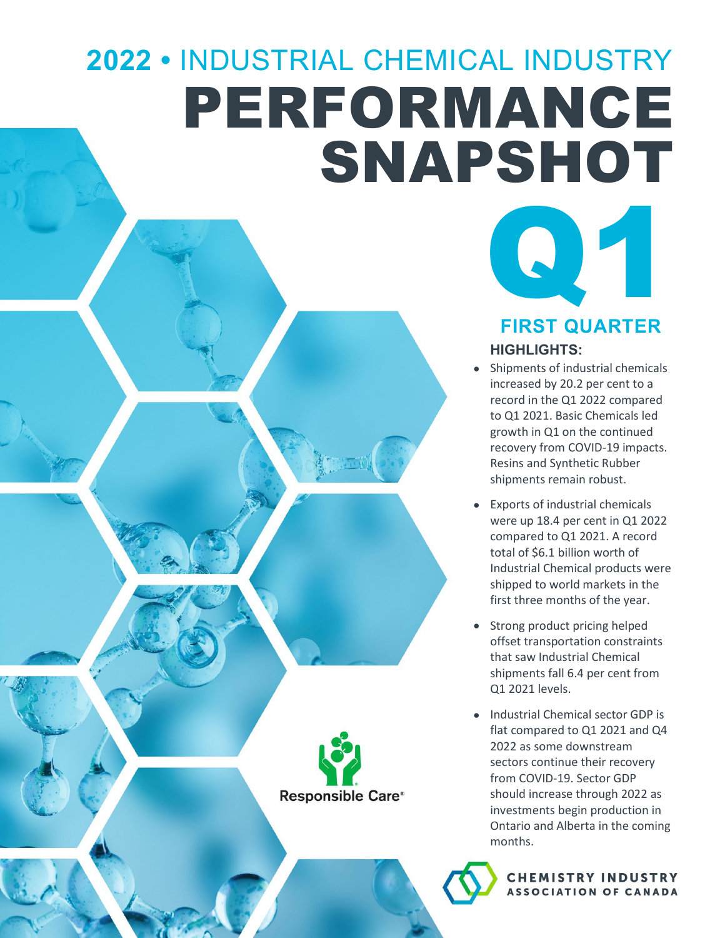# **2022 •** INDUSTRIAL CHEMICAL INDUSTRY PERFORMANCE SNAPSHOT





Q1

#### **HIGHLIGHTS:**

- Shipments of industrial chemicals increased by 20.2 per cent to a record in the Q1 2022 compared to Q1 2021. Basic Chemicals led growth in Q1 on the continued recovery from COVID-19 impacts. Resins and Synthetic Rubber shipments remain robust.
- Exports of industrial chemicals were up 18.4 per cent in Q1 2022 compared to Q1 2021. A record total of \$6.1 billion worth of Industrial Chemical products were shipped to world markets in the first three months of the year.
- Strong product pricing helped offset transportation constraints that saw Industrial Chemical shipments fall 6.4 per cent from Q1 2021 levels.
- Industrial Chemical sector GDP is flat compared to Q1 2021 and Q4 2022 as some downstream sectors continue their recovery from COVID-19. Sector GDP should increase through 2022 as investments begin production in Ontario and Alberta in the coming months.

**CHEMISTRY INDUSTRY ASSOCIATION OF CANADA**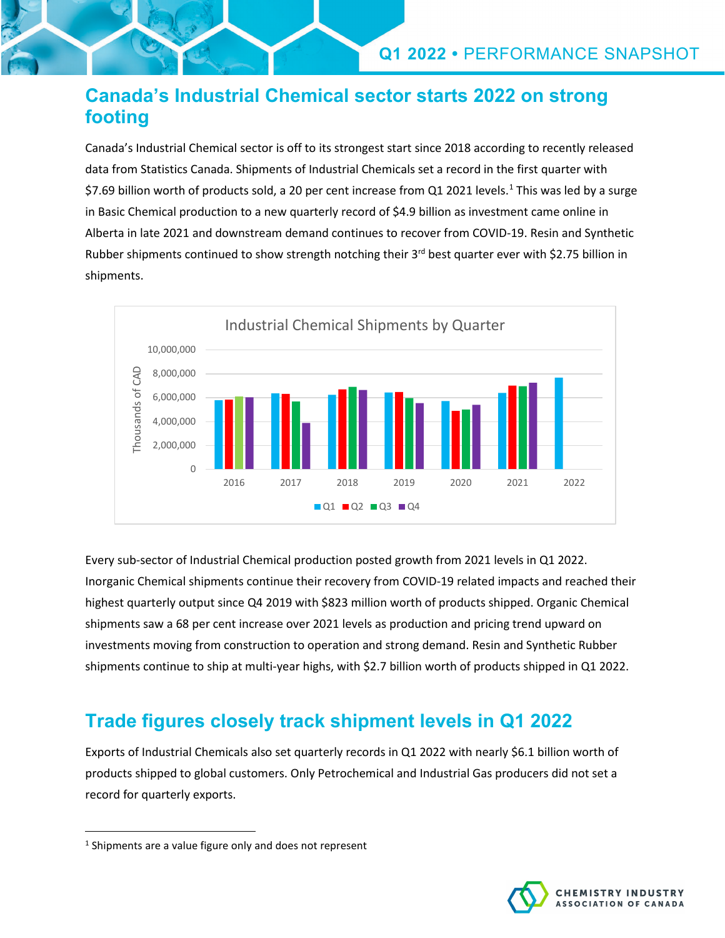## **Canada's Industrial Chemical sector starts 2022 on strong footing**

Canada's Industrial Chemical sector is off to its strongest start since 2018 according to recently released data from Statistics Canada. Shipments of Industrial Chemicals set a record in the first quarter with \$7.69 billion worth of products sold, a 20 per cent increase from Q[1](#page-1-0) 2021 levels.<sup>1</sup> This was led by a surge in Basic Chemical production to a new quarterly record of \$4.9 billion as investment came online in Alberta in late 2021 and downstream demand continues to recover from COVID-19. Resin and Synthetic Rubber shipments continued to show strength notching their 3<sup>rd</sup> best quarter ever with \$2.75 billion in shipments.



Every sub-sector of Industrial Chemical production posted growth from 2021 levels in Q1 2022. Inorganic Chemical shipments continue their recovery from COVID-19 related impacts and reached their highest quarterly output since Q4 2019 with \$823 million worth of products shipped. Organic Chemical shipments saw a 68 per cent increase over 2021 levels as production and pricing trend upward on investments moving from construction to operation and strong demand. Resin and Synthetic Rubber shipments continue to ship at multi-year highs, with \$2.7 billion worth of products shipped in Q1 2022.

## **Trade figures closely track shipment levels in Q1 2022**

Exports of Industrial Chemicals also set quarterly records in Q1 2022 with nearly \$6.1 billion worth of products shipped to global customers. Only Petrochemical and Industrial Gas producers did not set a record for quarterly exports.



<span id="page-1-0"></span><sup>&</sup>lt;sup>1</sup> Shipments are a value figure only and does not represent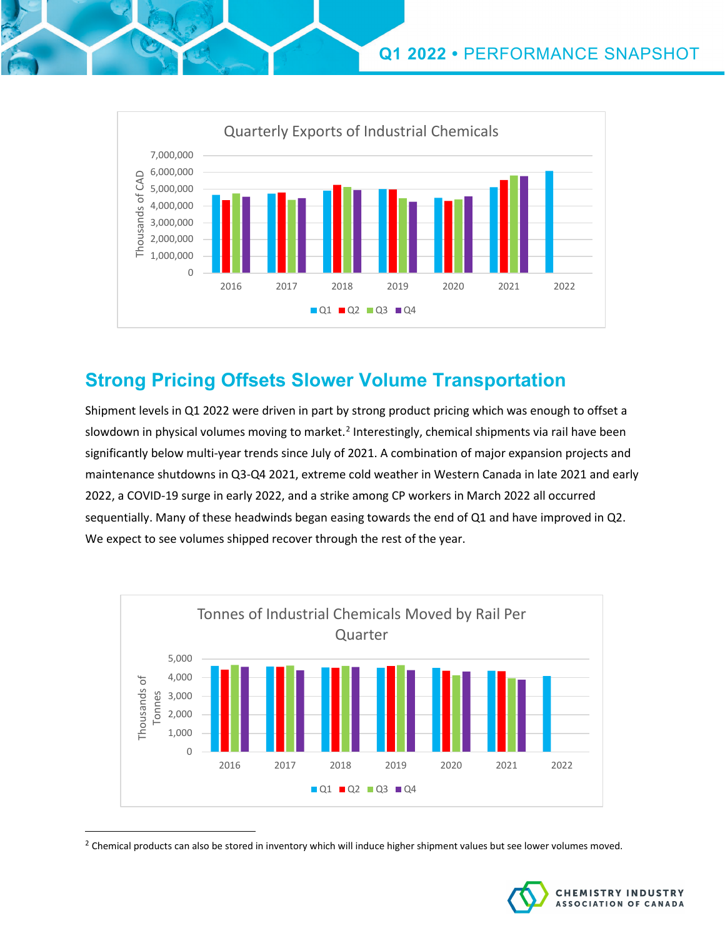

## **Strong Pricing Offsets Slower Volume Transportation**

Shipment levels in Q1 2022 were driven in part by strong product pricing which was enough to offset a slowdown in physical volumes moving to market.<sup>[2](#page-2-0)</sup> Interestingly, chemical shipments via rail have been significantly below multi-year trends since July of 2021. A combination of major expansion projects and maintenance shutdowns in Q3-Q4 2021, extreme cold weather in Western Canada in late 2021 and early 2022, a COVID-19 surge in early 2022, and a strike among CP workers in March 2022 all occurred sequentially. Many of these headwinds began easing towards the end of Q1 and have improved in Q2. We expect to see volumes shipped recover through the rest of the year.



<span id="page-2-0"></span><sup>&</sup>lt;sup>2</sup> Chemical products can also be stored in inventory which will induce higher shipment values but see lower volumes moved.